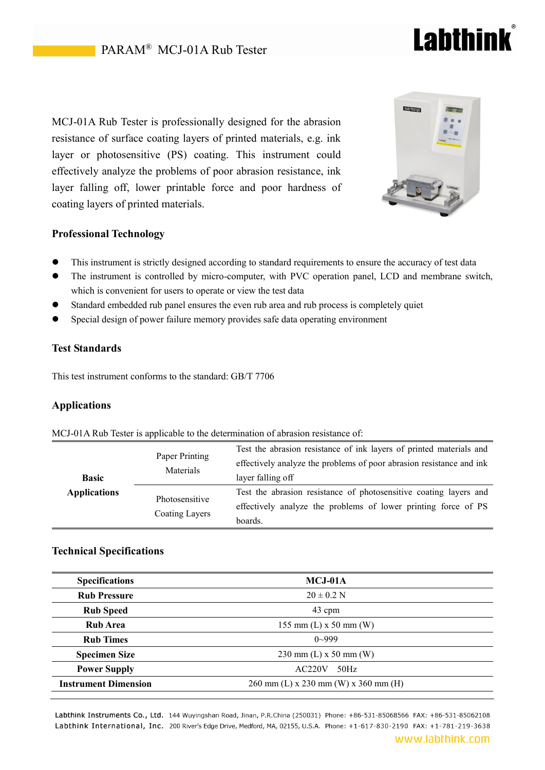# **Labthink**

MCJ-01A Rub Tester is professionally designed for the abrasion resistance of surface coating layers of printed materials, e.g. ink layer or photosensitive (PS) coating. This instrument could effectively analyze the problems of poor abrasion resistance, ink layer falling off, lower printable force and poor hardness of coating layers of printed materials.



## **Professional Technology**

- This instrument is strictly designed according to standard requirements to ensure the accuracy of test data
- The instrument is controlled by micro-computer, with PVC operation panel, LCD and membrane switch, which is convenient for users to operate or view the test data
- Standard embedded rub panel ensures the even rub area and rub process is completely quiet
- Special design of power failure memory provides safe data operating environment

## **Test Standards**

This test instrument conforms to the standard: GB/T 7706

# **Applications**

| <b>Basic</b>        | Paper Printing<br>Materials<br>Photosensitive<br>Coating Layers | Test the abrasion resistance of ink layers of printed materials and<br>effectively analyze the problems of poor abrasion resistance and ink<br>layer falling off |
|---------------------|-----------------------------------------------------------------|------------------------------------------------------------------------------------------------------------------------------------------------------------------|
| <b>Applications</b> |                                                                 | Test the abrasion resistance of photosensitive coating layers and<br>effectively analyze the problems of lower printing force of PS<br>boards.                   |

#### MCJ-01A Rub Tester is applicable to the determination of abrasion resistance of:

#### **Technical Specifications**

| <b>Specifications</b>       | MCJ-01A                                |  |
|-----------------------------|----------------------------------------|--|
| <b>Rub Pressure</b>         | $20 \pm 0.2$ N                         |  |
| <b>Rub Speed</b>            | 43 cpm                                 |  |
| <b>Rub Area</b>             | 155 mm $(L)$ x 50 mm $(W)$             |  |
| <b>Rub Times</b>            | $0 - 999$                              |  |
| <b>Specimen Size</b>        | $230 \text{ mm}$ (L) x 50 mm (W)       |  |
| <b>Power Supply</b>         | AC220V<br>50Hz                         |  |
| <b>Instrument Dimension</b> | $260$ mm (L) x 230 mm (W) x 360 mm (H) |  |

Labthink Instruments Co., Ltd. 144 Wuyingshan Road, Jinan, P.R.China (250031) Phone: +86-531-85068566 FAX: +86-531-85062108 Labthink International, Inc. 200 River's Edge Drive, Medford, MA, 02155, U.S.A. Phone: +1-617-830-2190 FAX: +1-781-219-3638

#### www.labthink.com